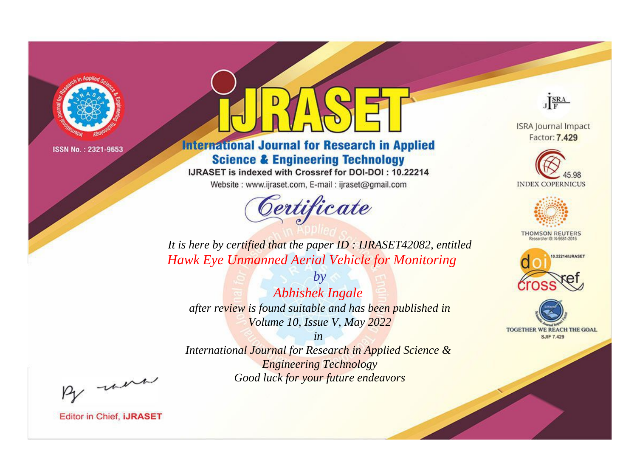

# **International Journal for Research in Applied Science & Engineering Technology**

IJRASET is indexed with Crossref for DOI-DOI: 10.22214

Website: www.ijraset.com, E-mail: ijraset@gmail.com



JERA

**ISRA Journal Impact** Factor: 7.429





**THOMSON REUTERS** 



TOGETHER WE REACH THE GOAL **SJIF 7.429** 

*It is here by certified that the paper ID : IJRASET42082, entitled Hawk Eye Unmanned Aerial Vehicle for Monitoring*

*by Abhishek Ingale after review is found suitable and has been published in Volume 10, Issue V, May 2022*

*in* 

*International Journal for Research in Applied Science & Engineering Technology Good luck for your future endeavors*

By morn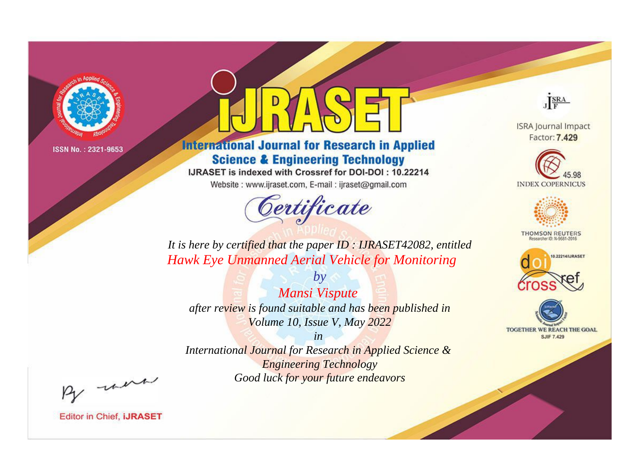

# **International Journal for Research in Applied Science & Engineering Technology**

IJRASET is indexed with Crossref for DOI-DOI: 10.22214

Website: www.ijraset.com, E-mail: ijraset@gmail.com



JERA

**ISRA Journal Impact** Factor: 7.429





**THOMSON REUTERS** 



TOGETHER WE REACH THE GOAL **SJIF 7.429** 

*It is here by certified that the paper ID : IJRASET42082, entitled Hawk Eye Unmanned Aerial Vehicle for Monitoring*

*by Mansi Vispute after review is found suitable and has been published in Volume 10, Issue V, May 2022*

*in* 

*International Journal for Research in Applied Science & Engineering Technology Good luck for your future endeavors*

By morn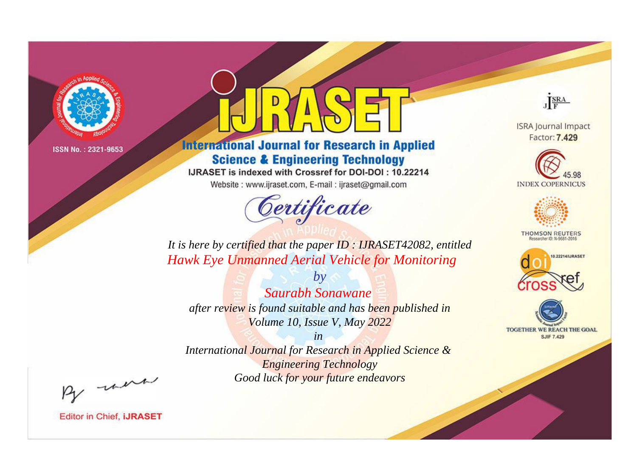

# **International Journal for Research in Applied Science & Engineering Technology**

IJRASET is indexed with Crossref for DOI-DOI: 10.22214

Website: www.ijraset.com, E-mail: ijraset@gmail.com



JERA

**ISRA Journal Impact** Factor: 7.429





**THOMSON REUTERS** 



TOGETHER WE REACH THE GOAL **SJIF 7.429** 

*It is here by certified that the paper ID : IJRASET42082, entitled Hawk Eye Unmanned Aerial Vehicle for Monitoring*

*Saurabh Sonawane after review is found suitable and has been published in Volume 10, Issue V, May 2022*

*by*

*in* 

*International Journal for Research in Applied Science & Engineering Technology Good luck for your future endeavors*

By morn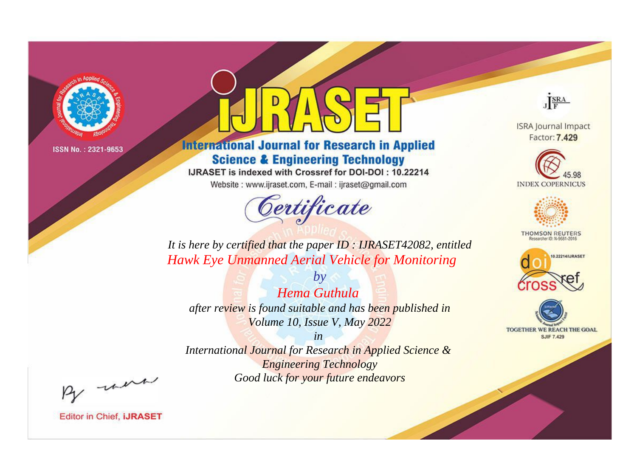

# **International Journal for Research in Applied Science & Engineering Technology**

IJRASET is indexed with Crossref for DOI-DOI: 10.22214

Website: www.ijraset.com, E-mail: ijraset@gmail.com



JERA

**ISRA Journal Impact** Factor: 7.429





**THOMSON REUTERS** 



TOGETHER WE REACH THE GOAL **SJIF 7.429** 

*It is here by certified that the paper ID : IJRASET42082, entitled Hawk Eye Unmanned Aerial Vehicle for Monitoring*

*by Hema Guthula after review is found suitable and has been published in Volume 10, Issue V, May 2022*

*in* 

*International Journal for Research in Applied Science & Engineering Technology Good luck for your future endeavors*

By morn